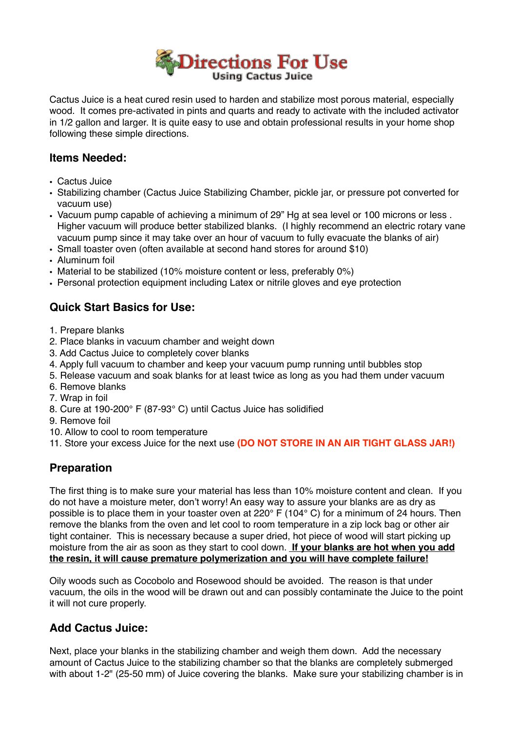

Cactus Juice is a heat cured resin used to harden and stabilize most porous material, especially wood. It comes pre-activated in pints and quarts and ready to activate with the included activator in 1/2 gallon and larger. It is quite easy to use and obtain professional results in your home shop following these simple directions.

#### **Items Needed:**

- Cactus Juice
- Stabilizing chamber (Cactus Juice Stabilizing Chamber, pickle jar, or pressure pot converted for vacuum use)
- Vacuum pump capable of achieving a minimum of 29" Hg at sea level or 100 microns or less . Higher vacuum will produce better stabilized blanks. (I highly recommend an electric rotary vane vacuum pump since it may take over an hour of vacuum to fully evacuate the blanks of air)
- Small toaster oven (often available at second hand stores for around \$10)
- Aluminum foil
- Material to be stabilized (10% moisture content or less, preferably 0%)
- Personal protection equipment including Latex or nitrile gloves and eye protection

## **Quick Start Basics for Use:**

- 1. Prepare blanks
- 2. Place blanks in vacuum chamber and weight down
- 3. Add Cactus Juice to completely cover blanks
- 4. Apply full vacuum to chamber and keep your vacuum pump running until bubbles stop
- 5. Release vacuum and soak blanks for at least twice as long as you had them under vacuum
- 6. Remove blanks
- 7. Wrap in foil
- 8. Cure at 190-200° F (87-93° C) until Cactus Juice has solidified
- 9. Remove foil
- 10. Allow to cool to room temperature
- 11. Store your excess Juice for the next use **(DO NOT STORE IN AN AIR TIGHT GLASS JAR!)**

## **Preparation**

The first thing is to make sure your material has less than 10% moisture content and clean. If you do not have a moisture meter, don't worry! An easy way to assure your blanks are as dry as possible is to place them in your toaster oven at 220° F (104° C) for a minimum of 24 hours. Then remove the blanks from the oven and let cool to room temperature in a zip lock bag or other air tight container. This is necessary because a super dried, hot piece of wood will start picking up moisture from the air as soon as they start to cool down. **If your blanks are hot when you add the resin, it will cause premature polymerization and you will have complete failure!**

Oily woods such as Cocobolo and Rosewood should be avoided. The reason is that under vacuum, the oils in the wood will be drawn out and can possibly contaminate the Juice to the point it will not cure properly.

#### **Add Cactus Juice:**

Next, place your blanks in the stabilizing chamber and weigh them down. Add the necessary amount of Cactus Juice to the stabilizing chamber so that the blanks are completely submerged with about 1-2" (25-50 mm) of Juice covering the blanks. Make sure your stabilizing chamber is in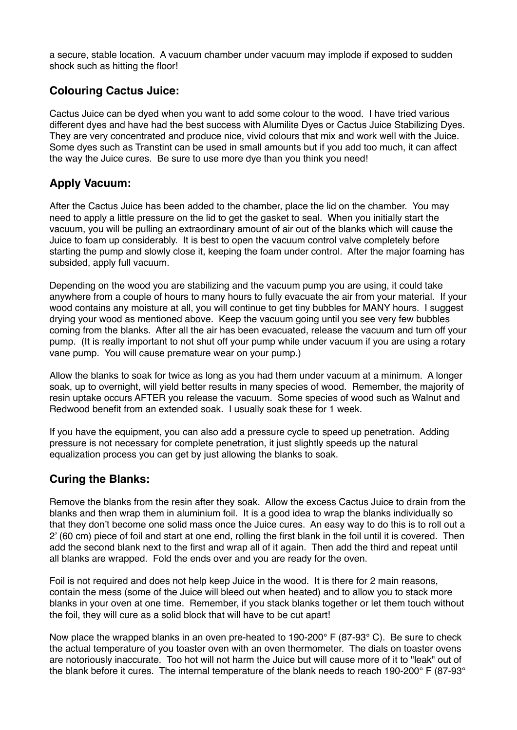a secure, stable location. A vacuum chamber under vacuum may implode if exposed to sudden shock such as hitting the floor!

#### **Colouring Cactus Juice:**

Cactus Juice can be dyed when you want to add some colour to the wood. I have tried various different dyes and have had the best success with Alumilite Dyes or Cactus Juice Stabilizing Dyes. They are very concentrated and produce nice, vivid colours that mix and work well with the Juice. Some dyes such as Transtint can be used in small amounts but if you add too much, it can affect the way the Juice cures. Be sure to use more dye than you think you need!

### **Apply Vacuum:**

After the Cactus Juice has been added to the chamber, place the lid on the chamber. You may need to apply a little pressure on the lid to get the gasket to seal. When you initially start the vacuum, you will be pulling an extraordinary amount of air out of the blanks which will cause the Juice to foam up considerably. It is best to open the vacuum control valve completely before starting the pump and slowly close it, keeping the foam under control. After the major foaming has subsided, apply full vacuum.

Depending on the wood you are stabilizing and the vacuum pump you are using, it could take anywhere from a couple of hours to many hours to fully evacuate the air from your material. If your wood contains any moisture at all, you will continue to get tiny bubbles for MANY hours. I suggest drying your wood as mentioned above. Keep the vacuum going until you see very few bubbles coming from the blanks. After all the air has been evacuated, release the vacuum and turn off your pump. (It is really important to not shut off your pump while under vacuum if you are using a rotary vane pump. You will cause premature wear on your pump.)

Allow the blanks to soak for twice as long as you had them under vacuum at a minimum. A longer soak, up to overnight, will yield better results in many species of wood. Remember, the majority of resin uptake occurs AFTER you release the vacuum. Some species of wood such as Walnut and Redwood benefit from an extended soak. I usually soak these for 1 week.

If you have the equipment, you can also add a pressure cycle to speed up penetration. Adding pressure is not necessary for complete penetration, it just slightly speeds up the natural equalization process you can get by just allowing the blanks to soak.

## **Curing the Blanks:**

Remove the blanks from the resin after they soak. Allow the excess Cactus Juice to drain from the blanks and then wrap them in aluminium foil. It is a good idea to wrap the blanks individually so that they don't become one solid mass once the Juice cures. An easy way to do this is to roll out a 2' (60 cm) piece of foil and start at one end, rolling the first blank in the foil until it is covered. Then add the second blank next to the first and wrap all of it again. Then add the third and repeat until all blanks are wrapped. Fold the ends over and you are ready for the oven.

Foil is not required and does not help keep Juice in the wood. It is there for 2 main reasons, contain the mess (some of the Juice will bleed out when heated) and to allow you to stack more blanks in your oven at one time. Remember, if you stack blanks together or let them touch without the foil, they will cure as a solid block that will have to be cut apart!

Now place the wrapped blanks in an oven pre-heated to 190-200 $\degree$  F (87-93 $\degree$  C). Be sure to check the actual temperature of you toaster oven with an oven thermometer. The dials on toaster ovens are notoriously inaccurate. Too hot will not harm the Juice but will cause more of it to "leak" out of the blank before it cures. The internal temperature of the blank needs to reach 190-200° F (87-93°